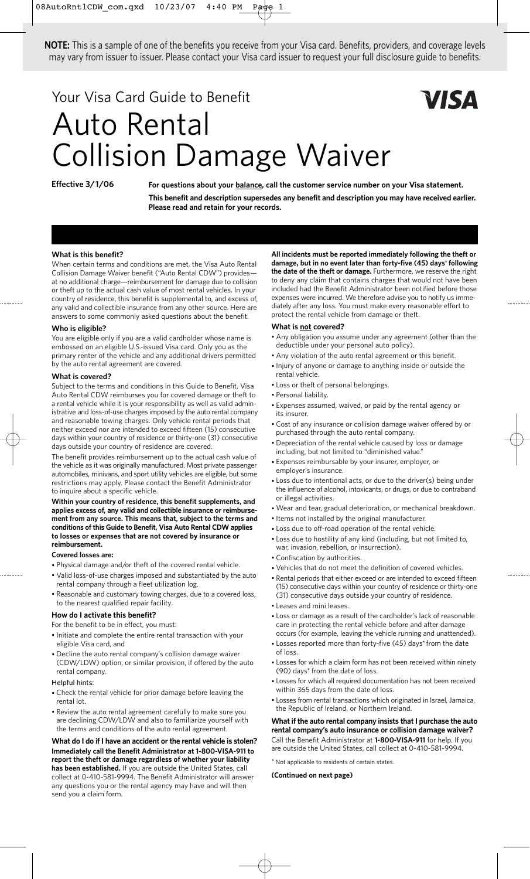**NOTE:** This is a sample of one of the benefits you receive from your Visa card. Benefits, providers, and coverage levels may vary from issuer to issuer. Please contact your Visa card issuer to request your full disclosure guide to benefits.

# Your Visa Card Guide to Benefit Auto Rental Collision Damage Waiver

**Effective 3/1/06**

For questions about your **balance**, call the customer service number on your Visa statement. **This benefit and description supersedes any benefit and description you may have received earlier. Please read and retain for your records.**

### **What is this benefit?**

When certain terms and conditions are met, the Visa Auto Rental Collision Damage Waiver benefit ("Auto Rental CDW") provides at no additional charge—reimbursement for damage due to collision or theft up to the actual cash value of most rental vehicles. In your country of residence, this benefit is supplemental to, and excess of, any valid and collectible insurance from any other source. Here are answers to some commonly asked questions about the benefit.

### **Who is eligible?**

You are eligible only if you are a valid cardholder whose name is embossed on an eligible U.S.-issued Visa card. Only you as the primary renter of the vehicle and any additional drivers permitted by the auto rental agreement are covered.

### **What is covered?**

Subject to the terms and conditions in this Guide to Benefit, Visa Auto Rental CDW reimburses you for covered damage or theft to a rental vehicle while it is your responsibility as well as valid administrative and loss-of-use charges imposed by the auto rental company and reasonable towing charges. Only vehicle rental periods that neither exceed nor are intended to exceed fifteen (15) consecutive days within your country of residence or thirty-one (31) consecutive days outside your country of residence are covered.

The benefit provides reimbursement up to the actual cash value of the vehicle as it was originally manufactured. Most private passenger automobiles, minivans, and sport utility vehicles are eligible, but some restrictions may apply. Please contact the Benefit Administrator to inquire about a specific vehicle.

**Within your country of residence, this benefit supplements, and applies excess of, any valid and collectible insurance or reimbursement from any source. This means that, subject to the terms and conditions of this Guide to Benefit, Visa Auto Rental CDW applies to losses or expenses that are not covered by insurance or reimbursement.**

#### **Covered losses are:**

- Physical damage and/or theft of the covered rental vehicle.
- Valid loss-of-use charges imposed and substantiated by the auto rental company through a fleet utilization log.
- Reasonable and customary towing charges, due to a covered loss, to the nearest qualified repair facility.

## **How do I activate this benefit?**

For the benefit to be in effect, you must:

- Initiate and complete the entire rental transaction with your eligible Visa card, and
- Decline the auto rental company's collision damage waiver (CDW/LDW) option, or similar provision, if offered by the auto rental company.

### Helpful hints:

- Check the rental vehicle for prior damage before leaving the rental lot.
- Review the auto rental agreement carefully to make sure you are declining CDW/LDW and also to familiarize yourself with the terms and conditions of the auto rental agreement.

### **What do I do if I have an accident or the rental vehicle is stolen? Immediately call the Benefit Administrator at 1-800-VISA-911 to report the theft or damage regardless of whether your liability has been established.** If you are outside the United States, call

collect at 0-410-581-9994. The Benefit Administrator will answer any questions you or the rental agency may have and will then send you a claim form.

**All incidents must be reported immediately following the theft or damage, but in no event later than forty-five (45) days**\* **following the date of the theft or damage.** Furthermore, we reserve the right to deny any claim that contains charges that would not have been included had the Benefit Administrator been notified before those expenses were incurred. We therefore advise you to notify us immediately after any loss. You must make every reasonable effort to protect the rental vehicle from damage or theft.

### **What is not covered?**

- Any obligation you assume under any agreement (other than the deductible under your personal auto policy).
- Any violation of the auto rental agreement or this benefit.
- Injury of anyone or damage to anything inside or outside the rental vehicle.
- Loss or theft of personal belongings.
- Personal liability.
- Expenses assumed, waived, or paid by the rental agency or its insurer.
- Cost of any insurance or collision damage waiver offered by or purchased through the auto rental company.
- Depreciation of the rental vehicle caused by loss or damage including, but not limited to "diminished value."
- Expenses reimbursable by your insurer, employer, or employer's insurance.
- Loss due to intentional acts, or due to the driver(s) being under the influence of alcohol, intoxicants, or drugs, or due to contraband or illegal activities.
- Wear and tear, gradual deterioration, or mechanical breakdown.
- Items not installed by the original manufacturer.
- Loss due to off-road operation of the rental vehicle.
- Loss due to hostility of any kind (including, but not limited to, war, invasion, rebellion, or insurrection).
- Confiscation by authorities.
- Vehicles that do not meet the definition of covered vehicles.
- Rental periods that either exceed or are intended to exceed fifteen (15) consecutive days within your country of residence or thirty-one (31) consecutive days outside your country of residence.
- Leases and mini leases.
- Loss or damage as a result of the cardholder's lack of reasonable care in protecting the rental vehicle before and after damage occurs (for example, leaving the vehicle running and unattended).
- Losses reported more than forty-five (45) days\* from the date of loss.
- Losses for which a claim form has not been received within ninety (90) days\* from the date of loss.
- Losses for which all required documentation has not been received within 365 days from the date of loss.
- Losses from rental transactions which originated in Israel, Jamaica, the Republic of Ireland, or Northern Ireland.

**What if the auto rental company insists that I purchase the auto rental company's auto insurance or collision damage waiver?** Call the Benefit Administrator at **1-800-VISA-911** for help. If you are outside the United States, call collect at 0-410-581-9994.

\* Not applicable to residents of certain states.

**(Continued on next page)**

# VISA